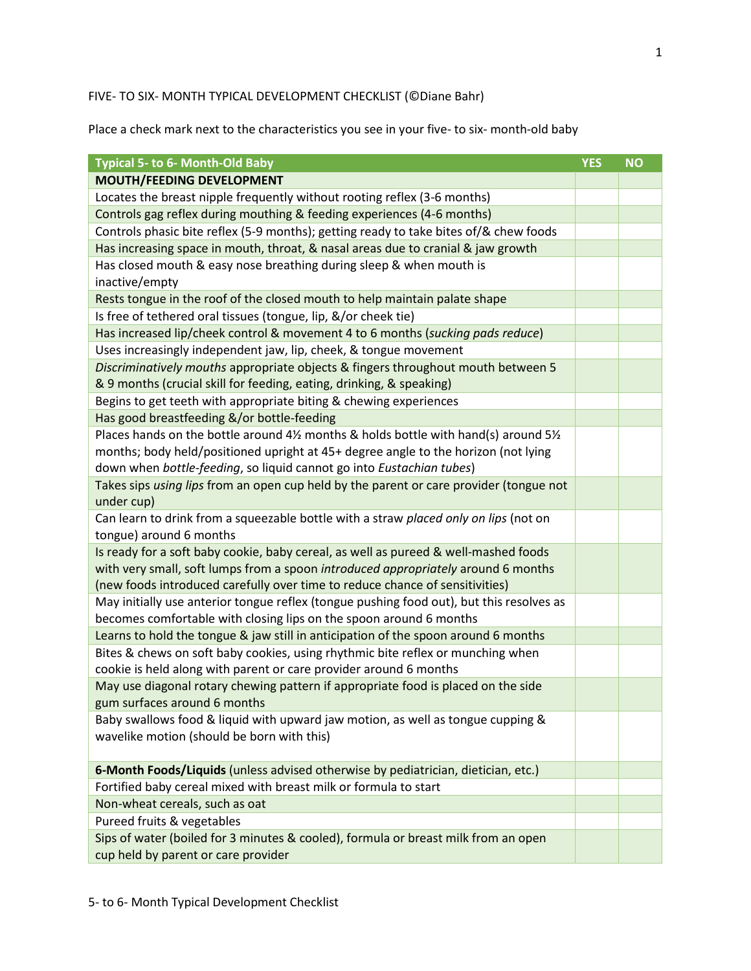## FIVE- TO SIX- MONTH TYPICAL DEVELOPMENT CHECKLIST (©Diane Bahr)

Place a check mark next to the characteristics you see in your five- to six- month-old baby

| <b>Typical 5- to 6- Month-Old Baby</b>                                                   | <b>YES</b> | <b>NO</b> |
|------------------------------------------------------------------------------------------|------------|-----------|
| <b>MOUTH/FEEDING DEVELOPMENT</b>                                                         |            |           |
| Locates the breast nipple frequently without rooting reflex (3-6 months)                 |            |           |
| Controls gag reflex during mouthing & feeding experiences (4-6 months)                   |            |           |
| Controls phasic bite reflex (5-9 months); getting ready to take bites of/& chew foods    |            |           |
| Has increasing space in mouth, throat, & nasal areas due to cranial & jaw growth         |            |           |
| Has closed mouth & easy nose breathing during sleep & when mouth is                      |            |           |
| inactive/empty                                                                           |            |           |
| Rests tongue in the roof of the closed mouth to help maintain palate shape               |            |           |
| Is free of tethered oral tissues (tongue, lip, &/or cheek tie)                           |            |           |
| Has increased lip/cheek control & movement 4 to 6 months (sucking pads reduce)           |            |           |
| Uses increasingly independent jaw, lip, cheek, & tongue movement                         |            |           |
| Discriminatively mouths appropriate objects & fingers throughout mouth between 5         |            |           |
| & 9 months (crucial skill for feeding, eating, drinking, & speaking)                     |            |           |
| Begins to get teeth with appropriate biting & chewing experiences                        |            |           |
| Has good breastfeeding &/or bottle-feeding                                               |            |           |
| Places hands on the bottle around 4½ months & holds bottle with hand(s) around 5½        |            |           |
| months; body held/positioned upright at 45+ degree angle to the horizon (not lying       |            |           |
| down when bottle-feeding, so liquid cannot go into Eustachian tubes)                     |            |           |
| Takes sips using lips from an open cup held by the parent or care provider (tongue not   |            |           |
| under cup)                                                                               |            |           |
| Can learn to drink from a squeezable bottle with a straw placed only on lips (not on     |            |           |
| tongue) around 6 months                                                                  |            |           |
| Is ready for a soft baby cookie, baby cereal, as well as pureed & well-mashed foods      |            |           |
| with very small, soft lumps from a spoon introduced appropriately around 6 months        |            |           |
| (new foods introduced carefully over time to reduce chance of sensitivities)             |            |           |
| May initially use anterior tongue reflex (tongue pushing food out), but this resolves as |            |           |
| becomes comfortable with closing lips on the spoon around 6 months                       |            |           |
| Learns to hold the tongue & jaw still in anticipation of the spoon around 6 months       |            |           |
| Bites & chews on soft baby cookies, using rhythmic bite reflex or munching when          |            |           |
| cookie is held along with parent or care provider around 6 months                        |            |           |
| May use diagonal rotary chewing pattern if appropriate food is placed on the side        |            |           |
| gum surfaces around 6 months                                                             |            |           |
| Baby swallows food & liquid with upward jaw motion, as well as tongue cupping &          |            |           |
| wavelike motion (should be born with this)                                               |            |           |
|                                                                                          |            |           |
| 6-Month Foods/Liquids (unless advised otherwise by pediatrician, dietician, etc.)        |            |           |
| Fortified baby cereal mixed with breast milk or formula to start                         |            |           |
| Non-wheat cereals, such as oat                                                           |            |           |
| Pureed fruits & vegetables                                                               |            |           |
| Sips of water (boiled for 3 minutes & cooled), formula or breast milk from an open       |            |           |
| cup held by parent or care provider                                                      |            |           |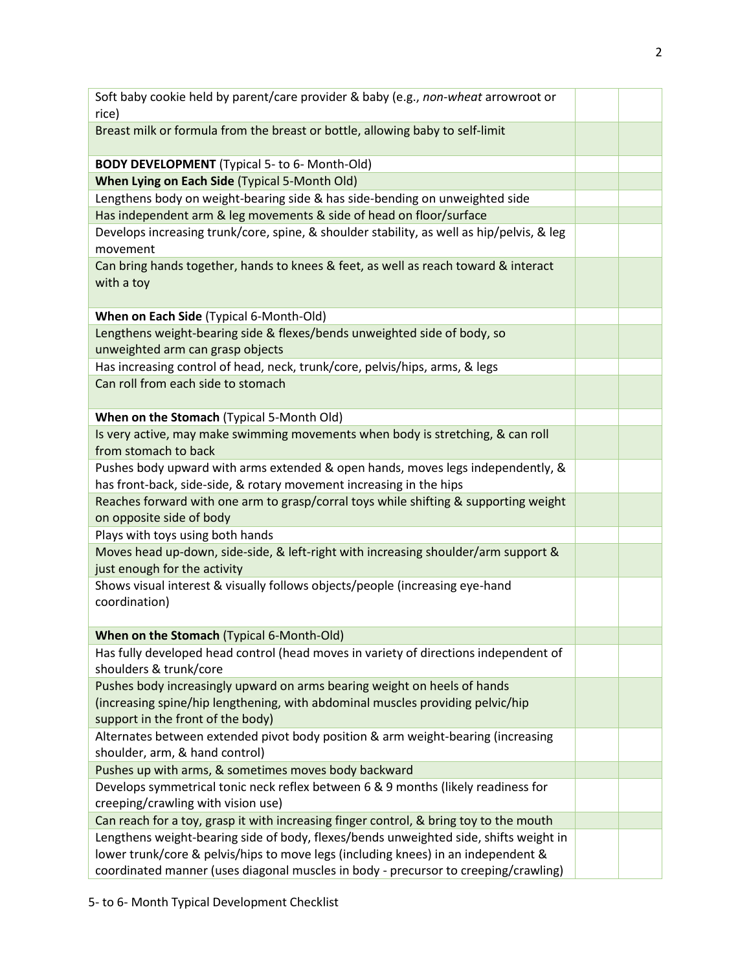| Soft baby cookie held by parent/care provider & baby (e.g., non-wheat arrowroot or                                                                     |  |
|--------------------------------------------------------------------------------------------------------------------------------------------------------|--|
| rice)                                                                                                                                                  |  |
| Breast milk or formula from the breast or bottle, allowing baby to self-limit                                                                          |  |
| <b>BODY DEVELOPMENT</b> (Typical 5- to 6- Month-Old)                                                                                                   |  |
| When Lying on Each Side (Typical 5-Month Old)                                                                                                          |  |
| Lengthens body on weight-bearing side & has side-bending on unweighted side                                                                            |  |
| Has independent arm & leg movements & side of head on floor/surface                                                                                    |  |
| Develops increasing trunk/core, spine, & shoulder stability, as well as hip/pelvis, & leg<br>movement                                                  |  |
| Can bring hands together, hands to knees & feet, as well as reach toward & interact<br>with a toy                                                      |  |
| When on Each Side (Typical 6-Month-Old)                                                                                                                |  |
| Lengthens weight-bearing side & flexes/bends unweighted side of body, so                                                                               |  |
| unweighted arm can grasp objects                                                                                                                       |  |
| Has increasing control of head, neck, trunk/core, pelvis/hips, arms, & legs                                                                            |  |
| Can roll from each side to stomach                                                                                                                     |  |
| When on the Stomach (Typical 5-Month Old)                                                                                                              |  |
| Is very active, may make swimming movements when body is stretching, & can roll<br>from stomach to back                                                |  |
| Pushes body upward with arms extended & open hands, moves legs independently, &<br>has front-back, side-side, & rotary movement increasing in the hips |  |
| Reaches forward with one arm to grasp/corral toys while shifting & supporting weight                                                                   |  |
| on opposite side of body                                                                                                                               |  |
| Plays with toys using both hands                                                                                                                       |  |
| Moves head up-down, side-side, & left-right with increasing shoulder/arm support &<br>just enough for the activity                                     |  |
| Shows visual interest & visually follows objects/people (increasing eye-hand<br>coordination)                                                          |  |
| When on the Stomach (Typical 6-Month-Old)                                                                                                              |  |
| Has fully developed head control (head moves in variety of directions independent of<br>shoulders & trunk/core                                         |  |
| Pushes body increasingly upward on arms bearing weight on heels of hands                                                                               |  |
| (increasing spine/hip lengthening, with abdominal muscles providing pelvic/hip<br>support in the front of the body)                                    |  |
| Alternates between extended pivot body position & arm weight-bearing (increasing                                                                       |  |
| shoulder, arm, & hand control)                                                                                                                         |  |
| Pushes up with arms, & sometimes moves body backward                                                                                                   |  |
| Develops symmetrical tonic neck reflex between 6 & 9 months (likely readiness for<br>creeping/crawling with vision use)                                |  |
| Can reach for a toy, grasp it with increasing finger control, & bring toy to the mouth                                                                 |  |
| Lengthens weight-bearing side of body, flexes/bends unweighted side, shifts weight in                                                                  |  |
| lower trunk/core & pelvis/hips to move legs (including knees) in an independent &                                                                      |  |
| coordinated manner (uses diagonal muscles in body - precursor to creeping/crawling)                                                                    |  |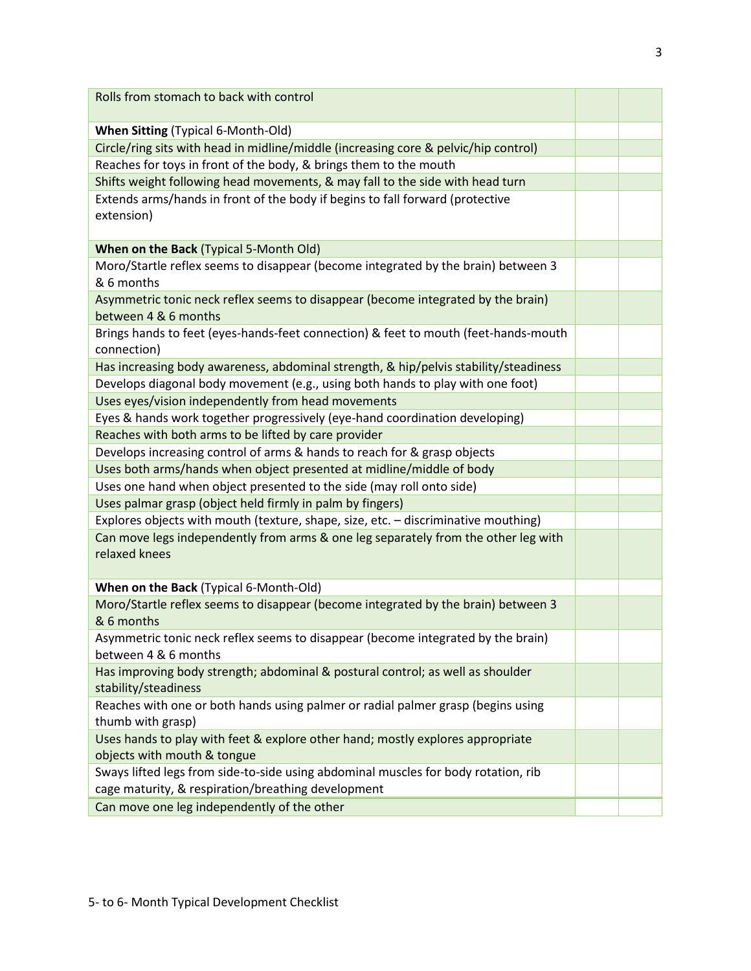| Rolls from stomach to back with control                                              |  |
|--------------------------------------------------------------------------------------|--|
|                                                                                      |  |
| <b>When Sitting (Typical 6-Month-Old)</b>                                            |  |
| Circle/ring sits with head in midline/middle (increasing core & pelvic/hip control)  |  |
| Reaches for toys in front of the body, & brings them to the mouth                    |  |
| Shifts weight following head movements, & may fall to the side with head turn        |  |
| Extends arms/hands in front of the body if begins to fall forward (protective        |  |
| extension)                                                                           |  |
|                                                                                      |  |
| When on the Back (Typical 5-Month Old)                                               |  |
| Moro/Startle reflex seems to disappear (become integrated by the brain) between 3    |  |
| & 6 months                                                                           |  |
| Asymmetric tonic neck reflex seems to disappear (become integrated by the brain)     |  |
| between 4 & 6 months                                                                 |  |
| Brings hands to feet (eyes-hands-feet connection) & feet to mouth (feet-hands-mouth  |  |
| connection)                                                                          |  |
| Has increasing body awareness, abdominal strength, & hip/pelvis stability/steadiness |  |
| Develops diagonal body movement (e.g., using both hands to play with one foot)       |  |
| Uses eyes/vision independently from head movements                                   |  |
| Eyes & hands work together progressively (eye-hand coordination developing)          |  |
| Reaches with both arms to be lifted by care provider                                 |  |
| Develops increasing control of arms & hands to reach for & grasp objects             |  |
| Uses both arms/hands when object presented at midline/middle of body                 |  |
| Uses one hand when object presented to the side (may roll onto side)                 |  |
| Uses palmar grasp (object held firmly in palm by fingers)                            |  |
| Explores objects with mouth (texture, shape, size, etc. - discriminative mouthing)   |  |
| Can move legs independently from arms & one leg separately from the other leg with   |  |
| relaxed knees                                                                        |  |
|                                                                                      |  |
| When on the Back (Typical 6-Month-Old)                                               |  |
| Moro/Startle reflex seems to disappear (become integrated by the brain) between 3    |  |
| & 6 months                                                                           |  |
| Asymmetric tonic neck reflex seems to disappear (become integrated by the brain)     |  |
| between 4 & 6 months                                                                 |  |
| Has improving body strength; abdominal & postural control; as well as shoulder       |  |
| stability/steadiness                                                                 |  |
| Reaches with one or both hands using palmer or radial palmer grasp (begins using     |  |
| thumb with grasp)                                                                    |  |
| Uses hands to play with feet & explore other hand; mostly explores appropriate       |  |
| objects with mouth & tongue                                                          |  |
| Sways lifted legs from side-to-side using abdominal muscles for body rotation, rib   |  |
| cage maturity, & respiration/breathing development                                   |  |
| Can move one leg independently of the other                                          |  |